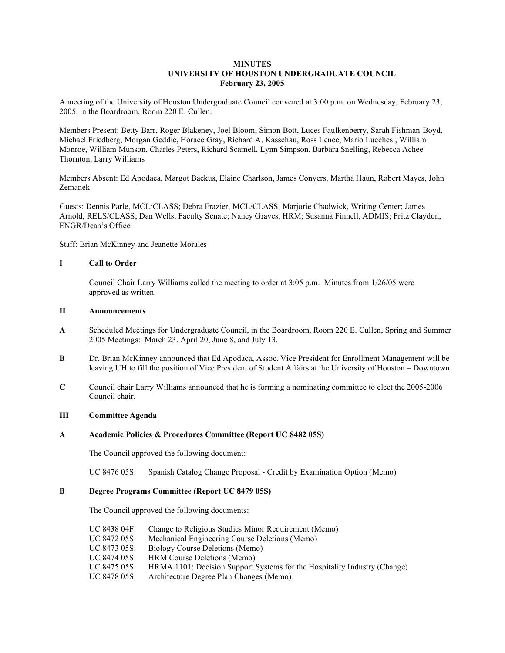## **MINUTES UNIVERSITY OF HOUSTON UNDERGRADUATE COUNCIL February 23, 2005**

A meeting of the University of Houston Undergraduate Council convened at 3:00 p.m. on Wednesday, February 23, 2005, in the Boardroom, Room 220 E. Cullen.

Members Present: Betty Barr, Roger Blakeney, Joel Bloom, Simon Bott, Luces Faulkenberry, Sarah Fishman-Boyd, Michael Friedberg, Morgan Geddie, Horace Gray, Richard A. Kasschau, Ross Lence, Mario Lucchesi, William Monroe, William Munson, Charles Peters, Richard Scamell, Lynn Simpson, Barbara Snelling, Rebecca Achee Thornton, Larry Williams

Members Absent: Ed Apodaca, Margot Backus, Elaine Charlson, James Conyers, Martha Haun, Robert Mayes, John Zemanek

Guests: Dennis Parle, MCL/CLASS; Debra Frazier, MCL/CLASS; Marjorie Chadwick, Writing Center; James Arnold, RELS/CLASS; Dan Wells, Faculty Senate; Nancy Graves, HRM; Susanna Finnell, ADMIS; Fritz Claydon, ENGR/Dean's Office

Staff: Brian McKinney and Jeanette Morales

### **I Call to Order**

Council Chair Larry Williams called the meeting to order at 3:05 p.m. Minutes from 1/26/05 were approved as written.

#### **II Announcements**

- **A** Scheduled Meetings for Undergraduate Council, in the Boardroom, Room 220 E. Cullen, Spring and Summer 2005 Meetings: March 23, April 20, June 8, and July 13.
- **B** Dr. Brian McKinney announced that Ed Apodaca, Assoc. Vice President for Enrollment Management will be leaving UH to fill the position of Vice President of Student Affairs at the University of Houston – Downtown.
- **C** Council chair Larry Williams announced that he is forming a nominating committee to elect the 2005-2006 Council chair.

### **III Committee Agenda**

## **A Academic Policies & Procedures Committee (Report UC 8482 05S)**

The Council approved the following document:

UC 8476 05S: Spanish Catalog Change Proposal - Credit by Examination Option (Memo)

#### **B Degree Programs Committee (Report UC 8479 05S)**

The Council approved the following documents:

| Mechanical Engineering Course Deletions (Memo)<br>UC 8472 05S:<br>UC 8473 05S:<br>Biology Course Deletions (Memo)<br>UC 8474 05S:<br><b>HRM</b> Course Deletions (Memo)<br>UC 8475 05S:<br>UC 8478 05S:<br>Architecture Degree Plan Changes (Memo) | UC 8438 04F: | Change to Religious Studies Minor Requirement (Memo)                      |
|----------------------------------------------------------------------------------------------------------------------------------------------------------------------------------------------------------------------------------------------------|--------------|---------------------------------------------------------------------------|
|                                                                                                                                                                                                                                                    |              |                                                                           |
|                                                                                                                                                                                                                                                    |              |                                                                           |
|                                                                                                                                                                                                                                                    |              |                                                                           |
|                                                                                                                                                                                                                                                    |              | HRMA 1101: Decision Support Systems for the Hospitality Industry (Change) |
|                                                                                                                                                                                                                                                    |              |                                                                           |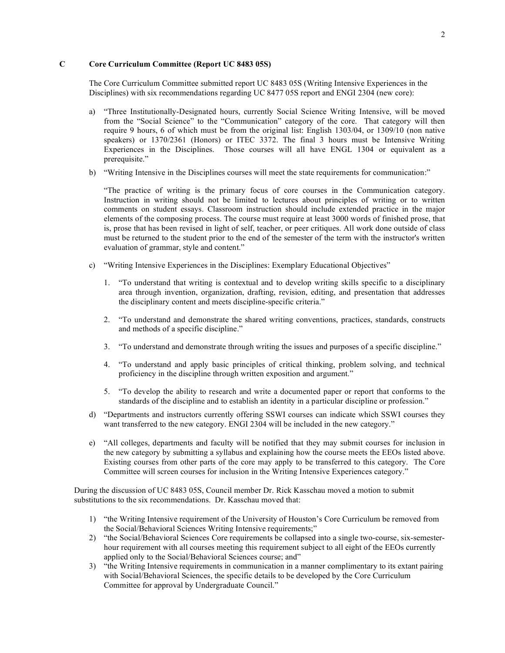## **C Core Curriculum Committee (Report UC 8483 05S)**

The Core Curriculum Committee submitted report UC 8483 05S (Writing Intensive Experiences in the Disciplines) with six recommendations regarding UC 8477 05S report and ENGI 2304 (new core):

- a) "Three Institutionally-Designated hours, currently Social Science Writing Intensive, will be moved from the "Social Science" to the "Communication" category of the core. That category will then require 9 hours, 6 of which must be from the original list: English 1303/04, or 1309/10 (non native speakers) or 1370/2361 (Honors) or ITEC 3372. The final 3 hours must be Intensive Writing Experiences in the Disciplines. Those courses will all have ENGL 1304 or equivalent as a prerequisite."
- b) "Writing Intensive in the Disciplines courses will meet the state requirements for communication:"

"The practice of writing is the primary focus of core courses in the Communication category. Instruction in writing should not be limited to lectures about principles of writing or to written comments on student essays. Classroom instruction should include extended practice in the major elements of the composing process. The course must require at least 3000 words of finished prose, that is, prose that has been revised in light of self, teacher, or peer critiques. All work done outside of class must be returned to the student prior to the end of the semester of the term with the instructor's written evaluation of grammar, style and content."

- c) "Writing Intensive Experiences in the Disciplines: Exemplary Educational Objectives"
	- 1. "To understand that writing is contextual and to develop writing skills specific to a disciplinary area through invention, organization, drafting, revision, editing, and presentation that addresses the disciplinary content and meets discipline-specific criteria."
	- 2. "To understand and demonstrate the shared writing conventions, practices, standards, constructs and methods of a specific discipline."
	- 3. "To understand and demonstrate through writing the issues and purposes of a specific discipline."
	- 4. "To understand and apply basic principles of critical thinking, problem solving, and technical proficiency in the discipline through written exposition and argument."
	- 5. "To develop the ability to research and write a documented paper or report that conforms to the standards of the discipline and to establish an identity in a particular discipline or profession."
- d) "Departments and instructors currently offering SSWI courses can indicate which SSWI courses they want transferred to the new category. ENGI 2304 will be included in the new category."
- e) "All colleges, departments and faculty will be notified that they may submit courses for inclusion in the new category by submitting a syllabus and explaining how the course meets the EEOs listed above. Existing courses from other parts of the core may apply to be transferred to this category. The Core Committee will screen courses for inclusion in the Writing Intensive Experiences category."

During the discussion of UC 8483 05S, Council member Dr. Rick Kasschau moved a motion to submit substitutions to the six recommendations. Dr. Kasschau moved that:

- 1) "the Writing Intensive requirement of the University of Houston's Core Curriculum be removed from the Social/Behavioral Sciences Writing Intensive requirements;"
- 2) "the Social/Behavioral Sciences Core requirements be collapsed into a single two-course, six-semesterhour requirement with all courses meeting this requirement subject to all eight of the EEOs currently applied only to the Social/Behavioral Sciences course; and"
- 3) "the Writing Intensive requirements in communication in a manner complimentary to its extant pairing with Social/Behavioral Sciences, the specific details to be developed by the Core Curriculum Committee for approval by Undergraduate Council."